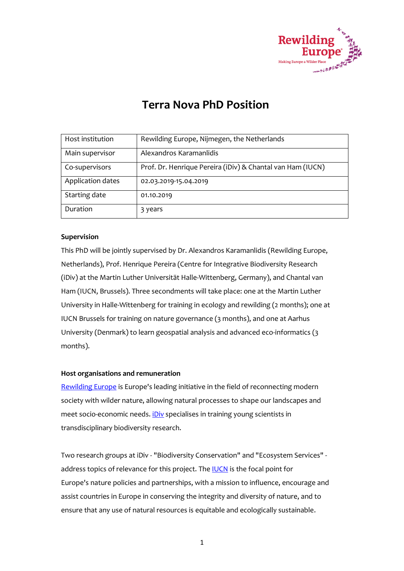

# **Terra Nova PhD Position**

| Host institution  | Rewilding Europe, Nijmegen, the Netherlands                |
|-------------------|------------------------------------------------------------|
| Main supervisor   | Alexandros Karamanlidis                                    |
| Co-supervisors    | Prof. Dr. Henrique Pereira (iDiv) & Chantal van Ham (IUCN) |
| Application dates | 02.03.2019-15.04.2019                                      |
| Starting date     | 01.10.2019                                                 |
| Duration          | 3 years                                                    |

# **Supervision**

This PhD will be jointly supervised by Dr. Alexandros Karamanlidis (Rewilding Europe, Netherlands), Prof. Henrique Pereira (Centre for Integrative Biodiversity Research (iDiv) at the Martin Luther Universität Halle-Wittenberg, Germany), and Chantal van Ham (IUCN, Brussels). Three secondments will take place: one at the Martin Luther University in Halle-Wittenberg for training in ecology and rewilding (2 months); one at IUCN Brussels for training on nature governance (3 months), and one at Aarhus University (Denmark) to learn geospatial analysis and advanced eco-informatics (3 months).

## **Host organisations and remuneration**

[Rewilding Europe](https://rewildingeurope.com/) is Europe's leading initiative in the field of reconnecting modern society with wilder nature, allowing natural processes to shape our landscapes and meet socio-economic needs. *[iDiv](https://www.idiv.de/)* specialises in training young scientists in transdisciplinary biodiversity research.

Two research groups at iDiv - "Biodiversity Conservation" and "Ecosystem Services" address topics of relevance for this project. The **IUCN** is the focal point for Europe's nature policies and partnerships, with a mission to influence, encourage and assist countries in Europe in conserving the integrity and diversity of nature, and to ensure that any use of natural resources is equitable and ecologically sustainable.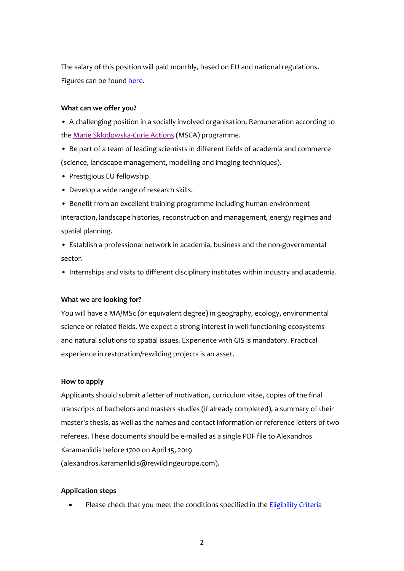The salary of this position will paid monthly, based on EU and national regulations. Figures can be found [here.](https://ec.europa.eu/programmes/horizon2020/sites/horizon2020/files/03._h2020-msca-2018-2020_post_isc_post_pc_for_pre-publication.pdf)

### **What can we offer you?**

• A challenging position in a socially involved organisation. Remuneration according to the [Marie Sklodowska-Curie Actions](https://ec.europa.eu/programmes/horizon2020/en/h2020-section/marie-sklodowska-curie-actions) (MSCA) programme.

- Be part of a team of leading scientists in different fields of academia and commerce (science, landscape management, modelling and imaging techniques).
- Prestigious EU fellowship.
- Develop a wide range of research skills.
- Benefit from an excellent training programme including human-environment interaction, landscape histories, reconstruction and management, energy regimes and spatial planning.
- Establish a professional network in academia, business and the non-governmental sector.
- Internships and visits to different disciplinary institutes within industry and academia.

#### **What we are looking for?**

You will have a MA/MSc (or equivalent degree) in geography, ecology, environmental science or related fields. We expect a strong interest in well-functioning ecosystems and natural solutions to spatial issues. Experience with GIS is mandatory. Practical experience in restoration/rewilding projects is an asset.

#### **How to apply**

Applicants should submit a letter of motivation, curriculum vitae, copies of the final transcripts of bachelors and masters studies (if already completed), a summary of their master's thesis, as well as the names and contact information or reference letters of two referees. These documents should be e-mailed as a single PDF file to Alexandros Karamanlidis before 1700 on April 15, 2019 (alexandros.karamanlidis@rewildingeurope.com).

#### **Application steps**

Please check that you meet the conditions specified in the **Eligibility Criteria**